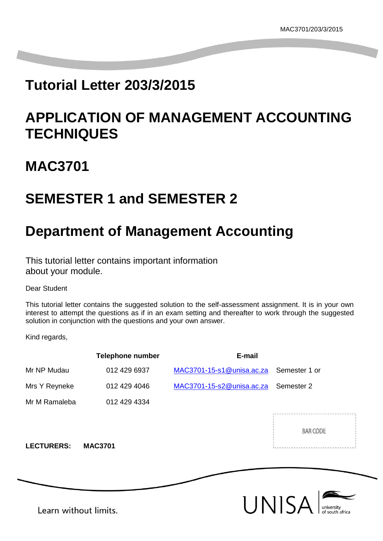# **Tutorial Letter 203/3/2015**

# **APPLICATION OF MANAGEMENT ACCOUNTING TECHNIQUES**

# **MAC3701**

# **SEMESTER 1 and SEMESTER 2**

# **Department of Management Accounting**

This tutorial letter contains important information about your module.

Dear Student

This tutorial letter contains the suggested solution to the self-assessment assignment. It is in your own interest to attempt the questions as if in an exam setting and thereafter to work through the suggested solution in conjunction with the questions and your own answer.

Kind regards,

|                       | <b>Telephone number</b> | E-mail                    |                     |
|-----------------------|-------------------------|---------------------------|---------------------|
| Mr NP Mudau           | 012 429 6937            | MAC3701-15-s1@unisa.ac.za | Semester 1 or       |
| Mrs Y Reyneke         | 012 429 4046            | MAC3701-15-s2@unisa.ac.za | Semester 2          |
| Mr M Ramaleba         | 012 429 4334            |                           |                     |
| <b>LECTURERS:</b>     | <b>MAC3701</b>          |                           | BAR CODE            |
|                       |                         |                           | UNISA<br>university |
| Learn without limits. |                         |                           | of south africa     |

Learn without limits.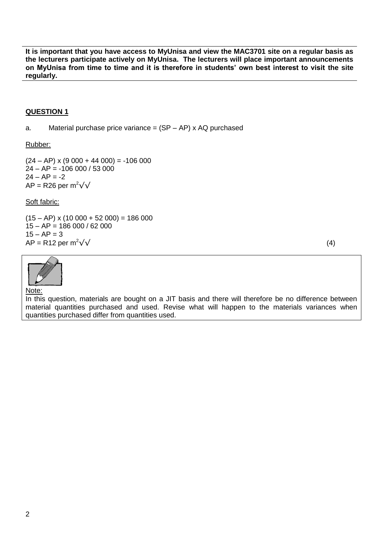**It is important that you have access to MyUnisa and view the MAC3701 site on a regular basis as the lecturers participate actively on MyUnisa. The lecturers will place important announcements on MyUnisa from time to time and it is therefore in students' own best interest to visit the site regularly.**

### **QUESTION 1**

a. Material purchase price variance  $=$   $(SP – AP)$  x AQ purchased

Rubber:

 $(24 - AP)$  x  $(9\ 000 + 44\ 000) = -106\ 000$  $24 - AP = -106000 / 53000$  $24 - AP = -2$ AP = R26 per  $m^2\sqrt{v}$ 

Soft fabric:

 $(15 - AP)$  x  $(10\ 000 + 52\ 000) = 186\ 000$ 15 – AP = 186 000 / 62 000  $15 - AP = 3$  $AP = R12$  per m<sup>2</sup> $\sqrt{}$  (4)



Note:

In this question, materials are bought on a JIT basis and there will therefore be no difference between material quantities purchased and used. Revise what will happen to the materials variances when quantities purchased differ from quantities used.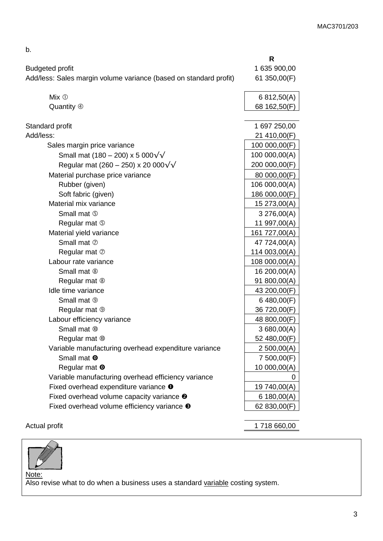| <b>Budgeted profit</b><br>Add/less: Sales margin volume variance (based on standard profit)<br>$Mix$ $\circledcirc$<br>Quantity 4<br>Standard profit<br>Add/less:<br>Sales margin price variance<br>Small mat (180 – 200) x 5 000 $\sqrt{\sqrt{ }}$<br>Regular mat (260 – 250) x 20 000 $\sqrt{\sqrt{ }}$<br>Material purchase price variance<br>Rubber (given)<br>Soft fabric (given)<br>Material mix variance<br>Small mat 5<br>Regular mat 5<br>Material yield variance<br>Small mat 2<br>Regular mat $\oslash$<br>Labour rate variance<br>Small mat <sup>®</sup><br>Regular mat <sup>®</sup><br>Idle time variance<br>Small mat <sup>®</sup><br>Regular mat <sup>®</sup><br>Labour efficiency variance<br>Small mat ®<br>Regular mat ®<br>Variable manufacturing overhead expenditure variance<br>Small mat <b>O</b><br>Regular mat <b>O</b><br>Variable manufacturing overhead efficiency variance<br>Fixed overhead expenditure variance <sup>O</sup> |                                                      | R             |
|-------------------------------------------------------------------------------------------------------------------------------------------------------------------------------------------------------------------------------------------------------------------------------------------------------------------------------------------------------------------------------------------------------------------------------------------------------------------------------------------------------------------------------------------------------------------------------------------------------------------------------------------------------------------------------------------------------------------------------------------------------------------------------------------------------------------------------------------------------------------------------------------------------------------------------------------------------------|------------------------------------------------------|---------------|
|                                                                                                                                                                                                                                                                                                                                                                                                                                                                                                                                                                                                                                                                                                                                                                                                                                                                                                                                                             |                                                      | 1 635 900,00  |
|                                                                                                                                                                                                                                                                                                                                                                                                                                                                                                                                                                                                                                                                                                                                                                                                                                                                                                                                                             |                                                      | 61 350,00(F)  |
|                                                                                                                                                                                                                                                                                                                                                                                                                                                                                                                                                                                                                                                                                                                                                                                                                                                                                                                                                             |                                                      | 6 812,50(A)   |
|                                                                                                                                                                                                                                                                                                                                                                                                                                                                                                                                                                                                                                                                                                                                                                                                                                                                                                                                                             |                                                      | 68 162,50(F)  |
|                                                                                                                                                                                                                                                                                                                                                                                                                                                                                                                                                                                                                                                                                                                                                                                                                                                                                                                                                             |                                                      | 1 697 250,00  |
|                                                                                                                                                                                                                                                                                                                                                                                                                                                                                                                                                                                                                                                                                                                                                                                                                                                                                                                                                             |                                                      | 21 410,00(F)  |
|                                                                                                                                                                                                                                                                                                                                                                                                                                                                                                                                                                                                                                                                                                                                                                                                                                                                                                                                                             |                                                      | 100 000,00(F) |
|                                                                                                                                                                                                                                                                                                                                                                                                                                                                                                                                                                                                                                                                                                                                                                                                                                                                                                                                                             |                                                      | 100 000,00(A) |
|                                                                                                                                                                                                                                                                                                                                                                                                                                                                                                                                                                                                                                                                                                                                                                                                                                                                                                                                                             |                                                      | 200 000,00(F) |
|                                                                                                                                                                                                                                                                                                                                                                                                                                                                                                                                                                                                                                                                                                                                                                                                                                                                                                                                                             |                                                      | 80 000,00(F)  |
|                                                                                                                                                                                                                                                                                                                                                                                                                                                                                                                                                                                                                                                                                                                                                                                                                                                                                                                                                             |                                                      | 106 000,00(A) |
|                                                                                                                                                                                                                                                                                                                                                                                                                                                                                                                                                                                                                                                                                                                                                                                                                                                                                                                                                             |                                                      | 186 000,00(F) |
|                                                                                                                                                                                                                                                                                                                                                                                                                                                                                                                                                                                                                                                                                                                                                                                                                                                                                                                                                             |                                                      | 15 273,00(A)  |
|                                                                                                                                                                                                                                                                                                                                                                                                                                                                                                                                                                                                                                                                                                                                                                                                                                                                                                                                                             |                                                      | 3276,00(A)    |
|                                                                                                                                                                                                                                                                                                                                                                                                                                                                                                                                                                                                                                                                                                                                                                                                                                                                                                                                                             |                                                      | 11 997,00(A)  |
|                                                                                                                                                                                                                                                                                                                                                                                                                                                                                                                                                                                                                                                                                                                                                                                                                                                                                                                                                             |                                                      | 161 727,00(A) |
|                                                                                                                                                                                                                                                                                                                                                                                                                                                                                                                                                                                                                                                                                                                                                                                                                                                                                                                                                             |                                                      | 47 724,00(A)  |
|                                                                                                                                                                                                                                                                                                                                                                                                                                                                                                                                                                                                                                                                                                                                                                                                                                                                                                                                                             |                                                      | 114 003,00(A) |
|                                                                                                                                                                                                                                                                                                                                                                                                                                                                                                                                                                                                                                                                                                                                                                                                                                                                                                                                                             |                                                      | 108 000,00(A) |
|                                                                                                                                                                                                                                                                                                                                                                                                                                                                                                                                                                                                                                                                                                                                                                                                                                                                                                                                                             |                                                      | 16 200,00(A)  |
|                                                                                                                                                                                                                                                                                                                                                                                                                                                                                                                                                                                                                                                                                                                                                                                                                                                                                                                                                             |                                                      | 91 800,00(A)  |
|                                                                                                                                                                                                                                                                                                                                                                                                                                                                                                                                                                                                                                                                                                                                                                                                                                                                                                                                                             |                                                      | 43 200,00(F)  |
|                                                                                                                                                                                                                                                                                                                                                                                                                                                                                                                                                                                                                                                                                                                                                                                                                                                                                                                                                             |                                                      | 6 480,00(F)   |
|                                                                                                                                                                                                                                                                                                                                                                                                                                                                                                                                                                                                                                                                                                                                                                                                                                                                                                                                                             |                                                      | 36 720,00(F)  |
|                                                                                                                                                                                                                                                                                                                                                                                                                                                                                                                                                                                                                                                                                                                                                                                                                                                                                                                                                             |                                                      | 48 800,00(F)  |
|                                                                                                                                                                                                                                                                                                                                                                                                                                                                                                                                                                                                                                                                                                                                                                                                                                                                                                                                                             |                                                      | 3680,00(A)    |
|                                                                                                                                                                                                                                                                                                                                                                                                                                                                                                                                                                                                                                                                                                                                                                                                                                                                                                                                                             |                                                      | 52 480,00(F)  |
|                                                                                                                                                                                                                                                                                                                                                                                                                                                                                                                                                                                                                                                                                                                                                                                                                                                                                                                                                             |                                                      | 2 500,00(A)   |
|                                                                                                                                                                                                                                                                                                                                                                                                                                                                                                                                                                                                                                                                                                                                                                                                                                                                                                                                                             |                                                      | 7 500,00(F)   |
|                                                                                                                                                                                                                                                                                                                                                                                                                                                                                                                                                                                                                                                                                                                                                                                                                                                                                                                                                             |                                                      | 10 000,00(A)  |
|                                                                                                                                                                                                                                                                                                                                                                                                                                                                                                                                                                                                                                                                                                                                                                                                                                                                                                                                                             |                                                      |               |
|                                                                                                                                                                                                                                                                                                                                                                                                                                                                                                                                                                                                                                                                                                                                                                                                                                                                                                                                                             |                                                      | 19 740,00(A)  |
|                                                                                                                                                                                                                                                                                                                                                                                                                                                                                                                                                                                                                                                                                                                                                                                                                                                                                                                                                             | Fixed overhead volume capacity variance <sup>o</sup> | 6 180,00(A)   |
| Fixed overhead volume efficiency variance <sup>®</sup>                                                                                                                                                                                                                                                                                                                                                                                                                                                                                                                                                                                                                                                                                                                                                                                                                                                                                                      |                                                      | 62 830,00(F)  |

b.

Actual profit 1 718 660,00



Note: Also revise what to do when a business uses a standard variable costing system.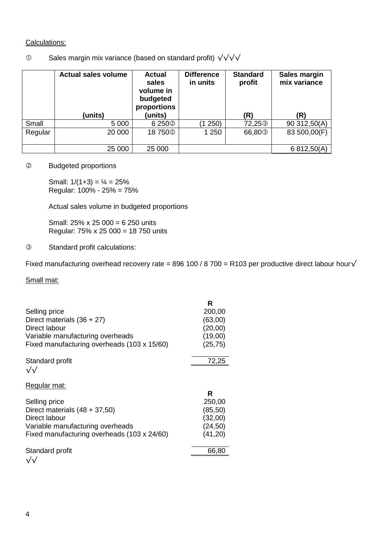# Calculations:

# Sales margin mix variance (based on standard profit) √√√√

|         | <b>Actual sales volume</b> | <b>Actual</b><br>sales<br>volume in<br>budgeted<br>proportions | <b>Difference</b><br>in units | <b>Standard</b><br>profit | Sales margin<br>mix variance |
|---------|----------------------------|----------------------------------------------------------------|-------------------------------|---------------------------|------------------------------|
|         | (units)                    | (units)                                                        |                               | (R)                       | (R)                          |
| Small   | 5 0 0 0                    | 6 250 <sup>2</sup>                                             | 250)                          | 72,25 <sup>3</sup>        | 90 312,50(A)                 |
| Regular | 20 000                     | 18750 <sup>2</sup>                                             | 1 250                         | 66,80 <sup>3</sup>        | 83 500,00(F)                 |
|         | 25 000                     | 25 000                                                         |                               |                           | 6 812,50(A)                  |

## Budgeted proportions

Small:  $1/(1+3) = \frac{1}{4} = 25\%$ Regular: 100% - 25% = 75%

Actual sales volume in budgeted proportions

Small: 25% x 25 000 = 6 250 units Regular: 75% x 25 000 = 18 750 units

### Standard profit calculations:

Fixed manufacturing overhead recovery rate = 896 100 / 8 700 = R103 per productive direct labour hour√

# Small mat:

|                                             | R        |
|---------------------------------------------|----------|
| Selling price                               | 200,00   |
| Direct materials $(36 + 27)$                | (63,00)  |
| Direct labour                               | (20,00)  |
| Variable manufacturing overheads            | (19,00)  |
| Fixed manufacturing overheads (103 x 15/60) | (25, 75) |
| Standard profit                             | 72,25    |
| √√                                          |          |
| Regular mat:                                |          |
|                                             | R        |
| Selling price                               | 250,00   |
| Direct materials $(48 + 37,50)$             | (85, 50) |
| Direct labour                               | (32,00)  |
| Variable manufacturing overheads            | (24, 50) |
| Fixed manufacturing overheads (103 x 24/60) | (41,20)  |
| Standard profit                             | 66,80    |
| $\sqrt{}$                                   |          |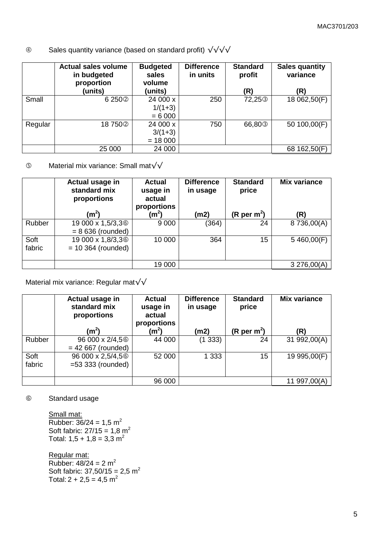# Sales quantity variance (based on standard profit) √√√√

|         | <b>Actual sales volume</b><br>in budgeted<br>proportion | <b>Budgeted</b><br>sales<br>volume | <b>Difference</b><br>in units | <b>Standard</b><br>profit | <b>Sales quantity</b><br>variance |
|---------|---------------------------------------------------------|------------------------------------|-------------------------------|---------------------------|-----------------------------------|
|         | (units)                                                 | (units)                            |                               | (R)                       | (R)                               |
| Small   | 6250 <sup>2</sup>                                       | 24 000 x                           | 250                           | 72,25 <sup>3</sup>        | 18 062,50(F)                      |
|         |                                                         | $1/(1+3)$                          |                               |                           |                                   |
|         |                                                         | $= 6000$                           |                               |                           |                                   |
| Regular | 18750 <sup>2</sup>                                      | 24 000 x                           | 750                           | 66,80 <sup>3</sup>        | 50 100,00(F)                      |
|         |                                                         | $3/(1+3)$                          |                               |                           |                                   |
|         |                                                         | $= 18000$                          |                               |                           |                                   |
|         | 25 000                                                  | 24 000                             |                               |                           | 68 162,50(F)                      |

Material mix variance: Small mat√√

|                | Actual usage in<br>standard mix<br>proportions        | <b>Actual</b><br>usage in<br>actual<br>proportions | <b>Difference</b><br>in usage | <b>Standard</b><br>price | <b>Mix variance</b> |
|----------------|-------------------------------------------------------|----------------------------------------------------|-------------------------------|--------------------------|---------------------|
|                | (m <sup>2</sup> )                                     | $\textsf{(m}^2\textsf{)}$                          | (m2)                          | (R per $m^2$ )           | (R)                 |
| Rubber         | 19 000 x 1,5/3,3 <sup>6</sup><br>$= 8636$ (rounded)   | 9 0 0 0                                            | (364)                         | 24                       | 8736,00(A)          |
| Soft<br>fabric | 19 000 x 1,8/3,3 <sup>6</sup><br>$= 10$ 364 (rounded) | 10 000                                             | 364                           | 15                       | 5460,00(F)          |
|                |                                                       | 19 000                                             |                               |                          | 3276,00(A)          |

Material mix variance: Regular mat√√

|                | Actual usage in<br>standard mix<br>proportions       | <b>Actual</b><br>usage in<br>actual<br>proportions | <b>Difference</b><br>in usage | <b>Standard</b><br>price | <b>Mix variance</b> |
|----------------|------------------------------------------------------|----------------------------------------------------|-------------------------------|--------------------------|---------------------|
|                | (m <sup>2</sup> )                                    | (m <sup>2</sup> )                                  | (m2)                          | (R per m <sup>2</sup> )  | (R)                 |
| Rubber         | 96 000 x 2/4,5 <sup>6</sup><br>$= 42667$ (rounded)   | 44 000                                             | (1333)                        | 24                       | 31 992,00(A)        |
| Soft<br>fabric | 96 000 x 2,5/4,5 <sup>6</sup><br>$=53$ 333 (rounded) | 52 000                                             | 1 3 3 3                       | 15                       | 19 995,00(F)        |
|                |                                                      | 96 000                                             |                               |                          | 11 997,00(A)        |

Standard usage

Small mat: Rubber:  $36/24 = 1,5 \text{ m}^2$ Soft fabric:  $27/15 = 1,8 \text{ m}^2$ Total:  $1,5 + 1,8 = 3,3$  m<sup>2</sup>

Regular mat: Rubber:  $48/24 = 2 m<sup>2</sup>$ Soft fabric:  $37,50/15 = 2,5$  m<sup>2</sup> Total:  $2 + 2,5 = 4,5$  m<sup>2</sup>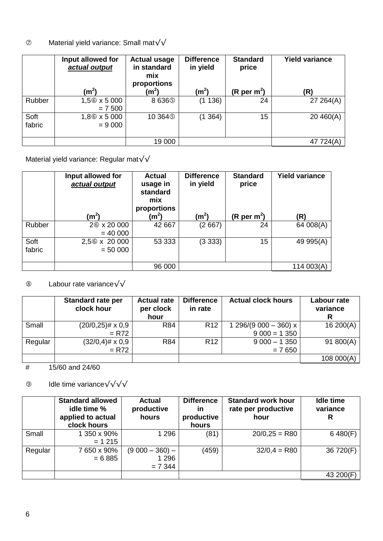# Material yield variance: Small mat√√

|                | Input allowed for<br>actual output   | <b>Actual usage</b><br>in standard<br>mix<br>proportions | <b>Difference</b><br>in yield | <b>Standard</b><br>price | <b>Yield variance</b> |
|----------------|--------------------------------------|----------------------------------------------------------|-------------------------------|--------------------------|-----------------------|
|                | (m <sup>2</sup> )                    | $(\mathsf{m}^2)$                                         | (m <sup>2</sup> )             | (R per m <sup>2</sup> )  | (R)                   |
| Rubber         | 1,56 x 5 000<br>$= 7500$             | 8636 <sup>(5)</sup>                                      | (1136)                        | 24                       | 27 264(A)             |
| Soft<br>fabric | 1,8 <sup>6</sup> x 5 000<br>$= 9000$ | 10 364 <sup>(5)</sup>                                    | (1364)                        | 15                       | 20460(A)              |
|                |                                      | 19 000                                                   |                               |                          | 47 724(A)             |

Material yield variance: Regular mat√√

|                | Input allowed for<br>actual output<br>(m <sup>2</sup> ) | <b>Actual</b><br>usage in<br>standard<br>mix<br>proportions<br>$\rm (m^2)$ | <b>Difference</b><br>in yield<br>(m <sup>2</sup> ) | <b>Standard</b><br>price<br>(R per m <sup>2</sup> ) | <b>Yield variance</b><br>(R) |
|----------------|---------------------------------------------------------|----------------------------------------------------------------------------|----------------------------------------------------|-----------------------------------------------------|------------------------------|
| Rubber         | 26 x 20 000<br>$= 40000$                                | 42 667                                                                     | (2667)                                             | 24                                                  | 64 008(A)                    |
| Soft<br>fabric | 2,56 x 20 000<br>$= 50000$                              | 53 333                                                                     | (3333)                                             | 15                                                  | 49 995(A)                    |
|                |                                                         | 96 000                                                                     |                                                    |                                                     | 114 003(A)                   |

# Labour rate variance√√

|         | <b>Standard rate per</b><br>clock hour | <b>Actual rate</b><br>per clock<br>hour | <b>Difference</b><br>in rate | <b>Actual clock hours</b>              | Labour rate<br>variance |
|---------|----------------------------------------|-----------------------------------------|------------------------------|----------------------------------------|-------------------------|
| Small   | $(20/0, 25)$ # x 0,9<br>$= R72$        | <b>R84</b>                              | R <sub>12</sub>              | 1 296/(9 000 - 360) x<br>$9000 = 1350$ | 16200(A)                |
| Regular | $(32/0,4)$ # x 0,9<br>$= R72$          | R84                                     | R <sub>12</sub>              | $9000 - 1350$<br>$= 7650$              | 91 800(A)               |
|         |                                        |                                         |                              |                                        | 108 000(A)              |

# 15/60 and 24/60

Idle time variance√√√√

|         | <b>Standard allowed</b><br>idle time %<br>applied to actual<br>clock hours | <b>Actual</b><br>productive<br>hours    | <b>Difference</b><br>in<br>productive<br>hours | <b>Standard work hour</b><br>rate per productive<br>hour | <b>Idle time</b><br>variance<br>R |
|---------|----------------------------------------------------------------------------|-----------------------------------------|------------------------------------------------|----------------------------------------------------------|-----------------------------------|
| Small   | 1 350 x 90%<br>$= 1215$                                                    | 1 2 9 6                                 | (81)                                           | $20/0,25 = R80$                                          | 6480(F)                           |
| Regular | 7650 x 90%<br>$= 6885$                                                     | $(9000 - 360)$ -<br>1 2 9 6<br>$= 7344$ | (459)                                          | $32/0.4 = R80$                                           | 36 720(F)                         |
|         |                                                                            |                                         |                                                |                                                          | 43 200(F)                         |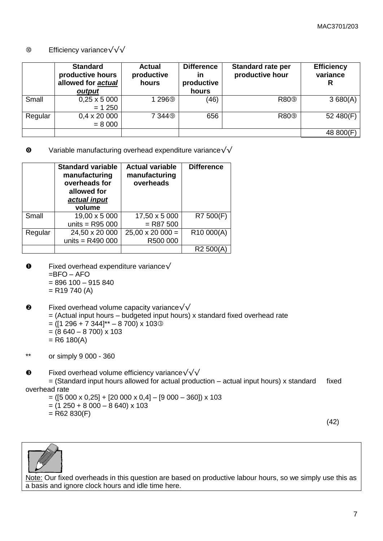### Efficiency variance√√√

|         | <b>Standard</b><br>productive hours<br>allowed for actual<br>output | <b>Actual</b><br>productive<br>hours | <b>Difference</b><br>in<br>productive<br>hours | <b>Standard rate per</b><br>productive hour | <b>Efficiency</b><br>variance<br>R |
|---------|---------------------------------------------------------------------|--------------------------------------|------------------------------------------------|---------------------------------------------|------------------------------------|
| Small   | $0,25 \times 5000$<br>$= 1250$                                      | 1296 <sup>®</sup>                    | (46)                                           | R80 <sup>®</sup>                            | 3680(A)                            |
| Regular | $0.4 \times 20000$<br>$= 8000$                                      | 7 344 <sup>(9)</sup>                 | 656                                            | R80 <sup>®</sup>                            | 52 480(F)                          |
|         |                                                                     |                                      |                                                |                                             | 48 800(F)                          |

 $\bullet$  Variable manufacturing overhead expenditure variance $\sqrt{\sqrt{ }}$ 

|         | <b>Standard variable</b><br>manufacturing<br>overheads for<br>allowed for<br>actual input<br>volume | <b>Actual variable</b><br>manufacturing<br>overheads |                      |
|---------|-----------------------------------------------------------------------------------------------------|------------------------------------------------------|----------------------|
| Small   | 19,00 x 5 000                                                                                       | 17,50 x 5 000                                        | R7 500(F)            |
|         | units = $R95000$                                                                                    | $=$ R87 500                                          |                      |
| Regular | 24,50 x 20 000                                                                                      | $25,00 \times 20000 =$                               | R10 000(A)           |
|         | units = $R490000$                                                                                   | R500 000                                             |                      |
|         |                                                                                                     |                                                      | R <sub>2</sub> 500(A |

- $\bullet$  Fixed overhead expenditure variance√  $=$ BFO – AFO = 896 100 – 915 840  $=$  R19 740 (A)
- $\Theta$  Fixed overhead volume capacity variance $\sqrt{\sqrt{ }}$  $=$  (Actual input hours – budgeted input hours) x standard fixed overhead rate  $=$  ([1 296 + 7 344]\*\* – 8 700) x 1033  $= (8640 - 8700) \times 103$  $=$  R6 180(A)

\*\* or simply 9 000 - 360

Fixed overhead volume efficiency variance√√√

 $=$  (Standard input hours allowed for actual production – actual input hours) x standard fixed overhead rate

- $= ([5 000 \times 0.25] + [20 000 \times 0.4] [9 000 360]) \times 103$
- $= (1 250 + 8 000 8 640) \times 103$
- $=$  R62 830(F)

(42)



Note: Our fixed overheads in this question are based on productive labour hours, so we simply use this as a basis and ignore clock hours and idle time here.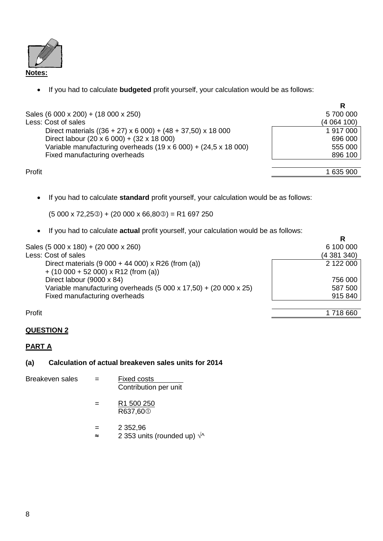

If you had to calculate **budgeted** profit yourself, your calculation would be as follows:

|                                                                               | R         |
|-------------------------------------------------------------------------------|-----------|
| Sales (6 000 x 200) + (18 000 x 250)                                          | 5700000   |
| Less: Cost of sales                                                           | (4064100) |
| Direct materials $((36 + 27) \times 6\,000) + (48 + 37,50) \times 18\,000$    | 1917000   |
| Direct labour (20 x 6 000) + (32 x 18 000)                                    | 696 000   |
| Variable manufacturing overheads $(19 \times 6\,000) + (24.5 \times 18\,000)$ | 555 000   |
| Fixed manufacturing overheads                                                 | 896 100   |
|                                                                               |           |
| Profit                                                                        | 1 635 900 |

If you had to calculate **standard** profit yourself, your calculation would be as follows:

 $(5000 \times 72,25\circledcirc) + (20000 \times 66,80\circledcirc) = R1697250$ 

If you had to calculate **actual** profit yourself, your calculation would be as follows:

|                                                                            | R         |
|----------------------------------------------------------------------------|-----------|
| Sales (5 000 x 180) + (20 000 x 260)                                       | 6 100 000 |
| Less: Cost of sales                                                        | (4381340) |
| Direct materials $(9\ 000 + 44\ 000) \times R26$ (from (a))                | 2 122 000 |
| $+$ (10 000 + 52 000) x R12 (from (a))                                     |           |
| Direct labour (9000 x 84)                                                  | 756 000   |
| Variable manufacturing overheads $(5000 \times 17,50) + (20000 \times 25)$ | 587 500   |
| Fixed manufacturing overheads                                              | 915 840   |
| Profit                                                                     | 1 718 660 |

# **QUESTION 2**

# **PART A**

**(a) Calculation of actual breakeven sales units for 2014**

| Breakeven sales | $=$ | Fixed costs           |
|-----------------|-----|-----------------------|
|                 |     | Contribution per unit |

$$
= \frac{R1\,500\,250}{R637,600}
$$

 $= 2352,96$ ≈ 2 353 units (rounded up) √^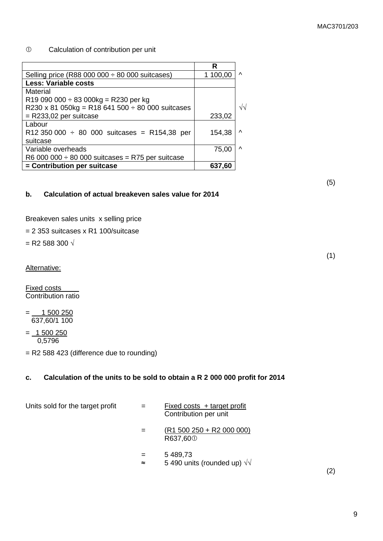(5)

(1)

### Calculation of contribution per unit

|                                                       | R        |            |
|-------------------------------------------------------|----------|------------|
| Selling price (R88 000 000 $\div$ 80 000 suitcases)   | 1 100,00 | $\wedge$   |
| <b>Less: Variable costs</b>                           |          |            |
| Material                                              |          |            |
| R19 090 000 $\div$ 83 000kg = R230 per kg             |          |            |
| R230 x 81 050kg = R18 641 500 $\div$ 80 000 suitcases |          | $\sqrt{v}$ |
| $=$ R233,02 per suitcase                              | 233,02   |            |
| Labour                                                |          |            |
| R12 350 000 $\div$ 80 000 suitcases = R154,38 per     | 154,38   | $\lambda$  |
| suitcase                                              |          |            |
| Variable overheads                                    | 75,00    | ∧          |
| R6 000 000 $\div$ 80 000 suitcases = R75 per suitcase |          |            |
| = Contribution per suitcase                           | 637,60   |            |

**b. Calculation of actual breakeven sales value for 2014**

Breakeven sales units x selling price

= 2 353 suitcases x R1 100/suitcase

 $=$  R2 588 300  $\sqrt{ }$ 

Alternative:

Fixed costs Contribution ratio

 $=$   $-$  1 500 250 637,60/1 100

 $= 1500250$ 0,5796

= R2 588 423 (difference due to rounding)

### **c. Calculation of the units to be sold to obtain a R 2 000 000 profit for 2014**

Units sold for the target profit  $=$  Fixed costs + target profit

- Contribution per unit
- $=$   $(R1 500 250 + R2 000 000)$ R637,60
- $= 5,489.73$
- ≈ 5 490 units (rounded up) √√

(2)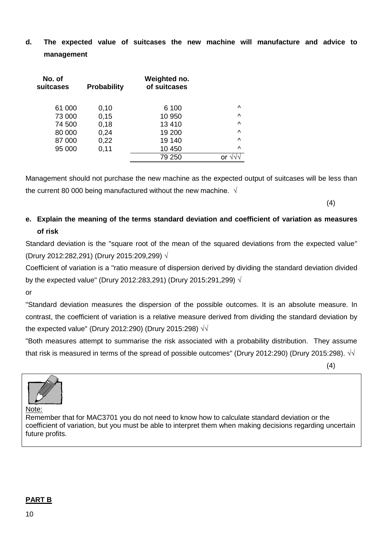**d. The expected value of suitcases the new machine will manufacture and advice to management**

| No. of<br>suitcases | <b>Probability</b> | Weighted no.<br>of suitcases |           |
|---------------------|--------------------|------------------------------|-----------|
| 61 000              | 0,10               | 6 100                        | Λ         |
| 73 000              | 0,15               | 10 950                       | $\wedge$  |
| 74 500              | 0,18               | 13410                        | $\wedge$  |
| 80 000              | 0,24               | 19 200                       | $\wedge$  |
| 87 000              | 0,22               | 19 140                       | $\lambda$ |
| 95 000              | 0,11               | 10 450                       | $\wedge$  |
|                     |                    | 79 250                       |           |

Management should not purchase the new machine as the expected output of suitcases will be less than the current 80 000 being manufactured without the new machine.  $\sqrt{ }$ 

(4)

# **e. Explain the meaning of the terms standard deviation and coefficient of variation as measures of risk**

Standard deviation is the "square root of the mean of the squared deviations from the expected value" (Drury 2012:282,291) (Drury 2015:209,299) √

Coefficient of variation is a "ratio measure of dispersion derived by dividing the standard deviation divided by the expected value" (Drury 2012:283,291) (Drury 2015:291,299) √

or

"Standard deviation measures the dispersion of the possible outcomes. It is an absolute measure. In contrast, the coefficient of variation is a relative measure derived from dividing the standard deviation by the expected value" (Drury 2012:290) (Drury 2015:298)  $\sqrt{v}$ 

"Both measures attempt to summarise the risk associated with a probability distribution. They assume that risk is measured in terms of the spread of possible outcomes" (Drury 2012:290) (Drury 2015:298). √√

(4)



Note:

Remember that for MAC3701 you do not need to know how to calculate standard deviation or the coefficient of variation, but you must be able to interpret them when making decisions regarding uncertain future profits.

# **PART B**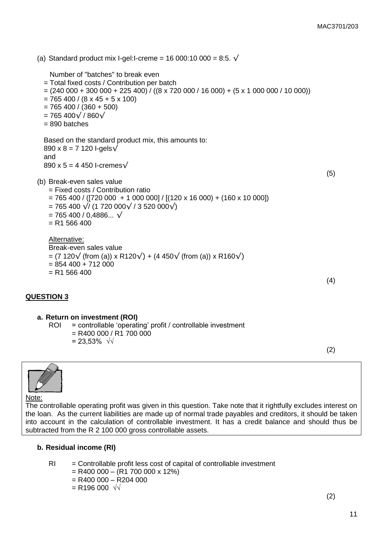(a) Standard product mix I-gel:I-creme = 16 000:10 000 = 8:5.  $\sqrt{ }$  Number of "batches" to break even = Total fixed costs / Contribution per batch  $= (240 000 + 300 000 + 225 400) / ((8 \times 720 000 / 16 000) + (5 \times 1 000 000 / 10 000))$  $= 765 400 / (8 \times 45 + 5 \times 100)$  $= 765 400 / (360 + 500)$  $= 765 400 \sqrt{ } 860 \sqrt{ }$ = 890 batches Based on the standard product mix, this amounts to:  $890 \times 8 = 7120$  I-gels $\sqrt{ }$ and 890 x 5 = 4 450 l-cremes $\sqrt{ }$ (5) (b) Break-even sales value = Fixed costs / Contribution ratio  $= 765 400 / ([720 000 + 1 000 000] / [(120 x 16 000) + (160 x 10 000])$  $= 765 400 \sqrt{11720000}$  / 3 520 000 $\sqrt{111}$  $= 765 400 / 0.4886...$  √  $= R1 566 400$ Alternative: Break-even sales value  $=$  (7 120 $\sqrt{ }$  (from (a)) x R120 $\sqrt{ }$ ) + (4 450 $\sqrt{ }$  (from (a)) x R160 $\sqrt{ }$ )  $= 854 400 + 712 000$  $= R1 566 400$ (4)

# **QUESTION 3**

#### **a. Return on investment (ROI)**

- ROI = controllable 'operating' profit / controllable investment  $=$  R400 000 / R1 700 000
	- = 23,53% √√

(2)



#### Note:

The controllable operating profit was given in this question. Take note that it rightfully excludes interest on the loan. As the current liabilities are made up of normal trade payables and creditors, it should be taken into account in the calculation of controllable investment. It has a credit balance and should thus be subtracted from the R 2 100 000 gross controllable assets.

#### **b. Residual income (RI)**

- $RI =$  Controllable profit less cost of capital of controllable investment
	- $=$  R400 000 (R1 700 000 x 12%)
	- $=$  R400 000 R204 000
	- $=$  R196 000  $\sqrt{1}$

(2)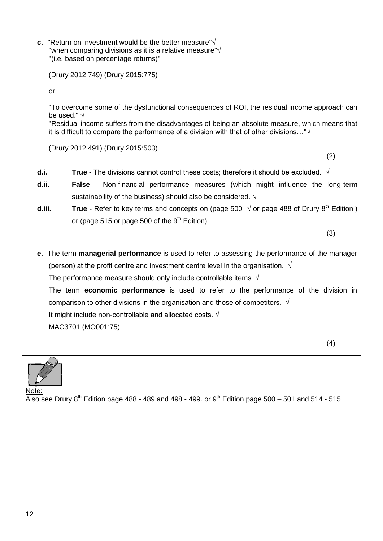**c.** "Return on investment would be the better measure"√ "when comparing divisions as it is a relative measure"√ "(i.e. based on percentage returns)"

(Drury 2012:749) (Drury 2015:775)

or

"To overcome some of the dysfunctional consequences of ROI, the residual income approach can be used." √

"Residual income suffers from the disadvantages of being an absolute measure, which means that it is difficult to compare the performance of a division with that of other divisions…"√

(Drury 2012:491) (Drury 2015:503)

(2)

- **d.i. True** The divisions cannot control these costs; therefore it should be excluded. √
- **d.ii. False**  Non-financial performance measures (which might influence the long-term sustainability of the business) should also be considered.  $\sqrt{ }$
- **d.iii. True** Refer to key terms and concepts on (page 500  $\sqrt{ }$  or page 488 of Drury 8<sup>th</sup> Edition.) or (page 515 or page 500 of the  $9<sup>th</sup>$  Edition)

(3)

**e.** The term **managerial performance** is used to refer to assessing the performance of the manager (person) at the profit centre and investment centre level in the organisation.  $\sqrt{ }$ The performance measure should only include controllable items.  $\sqrt{ }$ 

The term **economic performance** is used to refer to the performance of the division in comparison to other divisions in the organisation and those of competitors.  $\sqrt{ }$ 

It might include non-controllable and allocated costs. √

MAC3701 (MO001:75)



Note:  $\overline{A}$ lso see Drury 8<sup>th</sup> Edition page 488 - 489 and 498 - 499. or 9<sup>th</sup> Edition page 500 – 501 and 514 - 515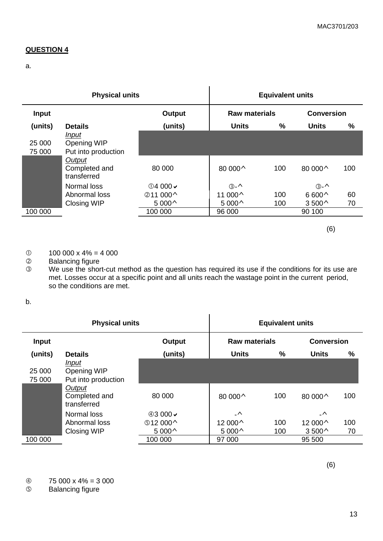# **QUESTION 4**

a.

| <b>Physical units</b> |                                                                                       |                                                                                | <b>Equivalent units</b>                               |               |                                                              |          |
|-----------------------|---------------------------------------------------------------------------------------|--------------------------------------------------------------------------------|-------------------------------------------------------|---------------|--------------------------------------------------------------|----------|
| <b>Input</b>          |                                                                                       | Output                                                                         | <b>Raw materials</b>                                  |               | <b>Conversion</b>                                            |          |
| (units)               | <b>Details</b>                                                                        | (units)                                                                        | <b>Units</b>                                          | $\frac{0}{0}$ | <b>Units</b>                                                 | $\%$     |
| 25 000<br>75 000      | Input<br>Opening WIP<br>Put into production<br>Output<br>Completed and<br>transferred | 80 000                                                                         | 80 000 ^                                              | 100           | 80 000 ^                                                     | 100      |
|                       | Normal loss<br>Abnormal loss<br><b>Closing WIP</b>                                    | $\textcircled{14}$ 000 $\textupless$<br>211 000 <sup>^</sup><br>$5000^{\circ}$ | $\circled{3}$ - $\wedge$<br>11 000^<br>$5000^{\circ}$ | 100<br>100    | $\circled{3}$ - $\wedge$<br>$6600^{\circ}$<br>$3500^{\circ}$ | 60<br>70 |
| 100 000               |                                                                                       | 100 000                                                                        | 96 000                                                |               | 90 100                                                       |          |

(6)

# $0$  100 000 x 4% = 4 000<br>  $Q$  Balancing figure

2 Balancing figure<br>3 We use the shor

 We use the short-cut method as the question has required its use if the conditions for its use are met. Losses occur at a specific point and all units reach the wastage point in the current period, so the conditions are met.

b.

| <b>Physical units</b> |                                             |                    | <b>Equivalent units</b> |     |                   |      |
|-----------------------|---------------------------------------------|--------------------|-------------------------|-----|-------------------|------|
| <b>Input</b>          |                                             | Output             | <b>Raw materials</b>    |     | <b>Conversion</b> |      |
| (units)               | <b>Details</b>                              | (units)            | <b>Units</b>            | ℅   | <b>Units</b>      | $\%$ |
| 25 000<br>75 000      | Input<br>Opening WIP<br>Put into production |                    |                         |     |                   |      |
|                       | Output<br>Completed and<br>transferred      | 80 000             | 80 000 ^                | 100 | 80 000^           | 100  |
|                       | Normal loss                                 | $@3000 \checkmark$ | $\Lambda$               |     | $\Lambda$         |      |
|                       | Abnormal loss                               | $$12000^{\circ}$   | 12 000^                 | 100 | 12 000^           | 100  |
|                       | <b>Closing WIP</b>                          | $5000^{\circ}$     | $5000^{\circ}$          | 100 | $3500^{\circ}$    | 70   |
| 100 000               |                                             | 100 000            | 97 000                  |     | 95 500            |      |

(6)

 $\frac{4}{5}$  75 000 x 4% = 3 000<br>
S Balancing figure

Balancing figure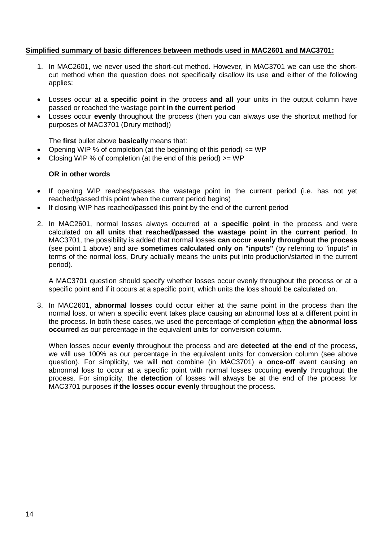#### **Simplified summary of basic differences between methods used in MAC2601 and MAC3701:**

- 1. In MAC2601, we never used the short-cut method. However, in MAC3701 we can use the shortcut method when the question does not specifically disallow its use **and** either of the following applies:
- Losses occur at a **specific point** in the process **and all** your units in the output column have passed or reached the wastage point **in the current period**
- Losses occur **evenly** throughout the process (then you can always use the shortcut method for purposes of MAC3701 (Drury method))

The **first** bullet above **basically** means that:

- Opening WIP % of completion (at the beginning of this period)  $\leq$  WP
- Closing WIP % of completion (at the end of this period) >= WP

### **OR in other words**

- If opening WIP reaches/passes the wastage point in the current period (i.e. has not yet reached/passed this point when the current period begins)
- If closing WIP has reached/passed this point by the end of the current period
- 2. In MAC2601, normal losses always occurred at a **specific point** in the process and were calculated on **all units that reached/passed the wastage point in the current period**. In MAC3701, the possibility is added that normal losses **can occur evenly throughout the process** (see point 1 above) and are **sometimes calculated only on "inputs"** (by referring to "inputs" in terms of the normal loss, Drury actually means the units put into production/started in the current period).

A MAC3701 question should specify whether losses occur evenly throughout the process or at a specific point and if it occurs at a specific point, which units the loss should be calculated on.

3. In MAC2601, **abnormal losses** could occur either at the same point in the process than the normal loss, or when a specific event takes place causing an abnormal loss at a different point in the process. In both these cases, we used the percentage of completion when **the abnormal loss occurred** as our percentage in the equivalent units for conversion column.

When losses occur **evenly** throughout the process and are **detected at the end** of the process, we will use 100% as our percentage in the equivalent units for conversion column (see above question). For simplicity, we will **not** combine (in MAC3701) a **once-off** event causing an abnormal loss to occur at a specific point with normal losses occuring **evenly** throughout the process. For simplicity, the **detection** of losses will always be at the end of the process for MAC3701 purposes **if the losses occur evenly** throughout the process.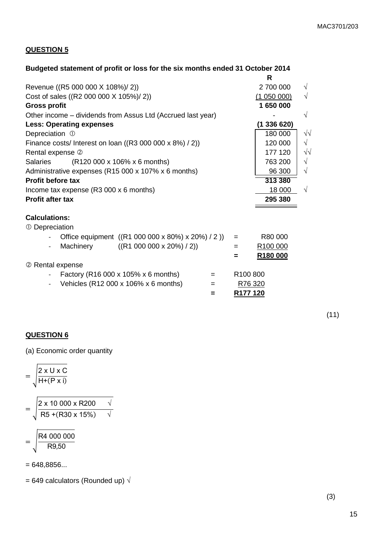**R**

# **QUESTION 5**

# **Budgeted statement of profit or loss for the six months ended 31 October 2014**

|                                                              | ĸ                    |            |
|--------------------------------------------------------------|----------------------|------------|
| Revenue ((R5 000 000 X 108%)/ 2))                            | 2 700 000            | √          |
| Cost of sales ((R2 000 000 X 105%)/ 2))                      | (1050000)            | $\sqrt{}$  |
| <b>Gross profit</b>                                          | 1 650 000            |            |
| Other income – dividends from Assus Ltd (Accrued last year)  |                      | $\sqrt{}$  |
| <b>Less: Operating expenses</b>                              | (1336620)            |            |
| Depreciation 1                                               | 180 000              | $\sqrt{2}$ |
| Finance costs/ Interest on loan ( $(R3 000 000 x 8%) / 2$ )) | 120 000              | $\sqrt{}$  |
| Rental expense 2                                             | 177 120              | $\sqrt{2}$ |
| (R120 000 x 106% x 6 months)<br><b>Salaries</b>              | 763 200              | $\sqrt{}$  |
| Administrative expenses (R15 000 x 107% x 6 months)          | 96 300               | $\sqrt{}$  |
| <b>Profit before tax</b>                                     | 313 380              |            |
| Income tax expense (R3 000 x 6 months)                       | 18 000               | $\sqrt{}$  |
| <b>Profit after tax</b>                                      | 295 380              |            |
|                                                              |                      |            |
| <b>Calculations:</b>                                         |                      |            |
| 1 Depreciation                                               |                      |            |
| Office equipment ((R1 000 000 x 80%) x 20%) / 2))<br>$=$     | R80 000              |            |
| Machinery<br>((R1 000 000 x 20%) / 2))<br>$=$                | R100 000             |            |
| =                                                            | R <sub>180</sub> 000 |            |
| 2 Rental expense                                             |                      |            |
| Factory (R16 000 x 105% x 6 months)<br>$=$                   | R100 800             |            |
| Vehicles (R12 000 x 106% x 6 months)<br>=                    | R76 320              |            |
| =                                                            | R177 120             |            |
|                                                              |                      |            |

 $(11)$ 

# **QUESTION 6**

(a) Economic order quantity

$$
= \sqrt{\frac{2 \times U \times C}{H^+(P \times i)}}
$$

$$
= \sqrt{\frac{2 \times 10\ 000 \times R200}{R5 + (R30 \times 15\%)} \quad \sqrt{\frac{1}{2}}}{}
$$
  
- 
$$
\sqrt{\frac{R4\ 000\ 000}{R4}}
$$

$$
=\sqrt{\frac{R9,50}{R9,50}}
$$

= 648,8856...

= 649 calculators (Rounded up)  $\sqrt{}$ 

(3)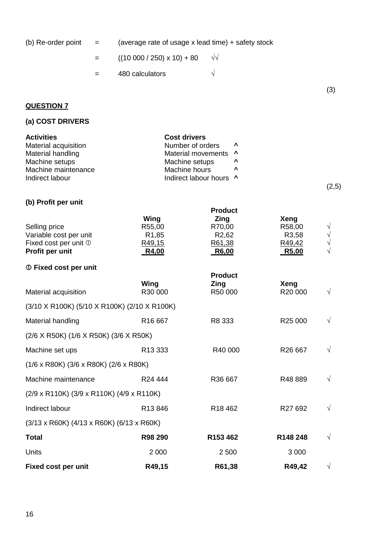| (b) Re-order point $=$ |     | (average rate of usage x lead time) + safety stock |   |     |
|------------------------|-----|----------------------------------------------------|---|-----|
|                        | $=$ | $((10\ 000\ / \ 250) \times 10) + 80$ $\sqrt{10}$  |   |     |
|                        | $=$ | 480 calculators                                    | V |     |
|                        |     |                                                    |   | (3) |
| <b>QUESTION 7</b>      |     |                                                    |   |     |

# **(a) COST DRIVERS**

| <b>Activities</b>    | <b>Cost drivers</b>     |                                 |       |
|----------------------|-------------------------|---------------------------------|-------|
| Material acquisition | Number of orders        | $\mathbf{v}$                    |       |
| Material handling    | Material movements ^    |                                 |       |
| Machine setups       | Machine setups          | $\boldsymbol{\mathsf{\Lambda}}$ |       |
| Machine maintenance  | Machine hours           | $\boldsymbol{\mathsf{\Lambda}}$ |       |
| Indirect labour      | Indirect labour hours ^ |                                 |       |
|                      |                         |                                 | (2,5) |

**Product**

### **(b) Profit per unit**

Wing **Zing** Xeng Selling price **R55,00** R55,00 R70,00 R58,00 Variable cost per unit R1,85 R2,62 R3,58 √ Fixed cost per unit  $\mathbb D$  R49,15 R61,38 R49,42 **Profit per unit** R4,00 R6,00 R6,00 R5,00 **Fixed cost per unit Product Wing Zing Xeng** Material acquisition  $R30\,000$  R50 000  $\sqrt{}$ (3/10 X R100K) (5/10 X R100K) (2/10 X R100K) Material handling R16 667 R8 333 R25 000 √ (2/6 X R50K) (1/6 X R50K) (3/6 X R50K) Machine set ups R13 333 R40 000 R26 667  $\sqrt{ }$ (1/6 x R80K) (3/6 x R80K) (2/6 x R80K) Machine maintenance  $R24\,444$  R36 667 R48 889  $\sqrt{ }$ (2/9 x R110K) (3/9 x R110K) (4/9 x R110K) Indirect labour  $R13846$  R18 462 R27 692 √ (3/13 x R60K) (4/13 x R60K) (6/13 x R60K) **Total R98 290 R153 462 R148 248** √ Units 2 000 2 500 3 000 **Fixed cost per unit R49,15 R61,38 R49,42** √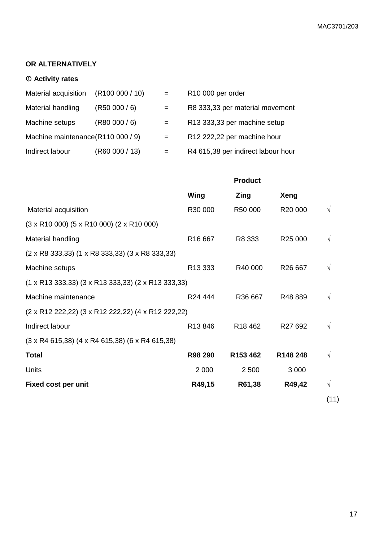# **OR ALTERNATIVELY**

# **Activity rates**

| Material acquisition               | (R100000 / 10) | $=$ | R <sub>10</sub> 000 per order      |
|------------------------------------|----------------|-----|------------------------------------|
| Material handling                  | (R50000/6)     | $=$ | R8 333,33 per material movement    |
| Machine setups                     | (R80000/6)     | $=$ | R13 333,33 per machine setup       |
| Machine maintenance (R110 000 / 9) |                | $=$ | R12 222,22 per machine hour        |
| Indirect labour                    | (R60 000 / 13) | $=$ | R4 615,38 per indirect labour hour |

|                                                                                     | <b>Product</b>      |                     |                     |      |
|-------------------------------------------------------------------------------------|---------------------|---------------------|---------------------|------|
|                                                                                     | Wing                | Zing                | <b>Xeng</b>         |      |
| Material acquisition                                                                | R30 000             | R50 000             | R20 000             |      |
| $(3 \times R10 000)$ $(5 \times R10 000)$ $(2 \times R10 000)$                      |                     |                     |                     |      |
| Material handling                                                                   | R <sub>16</sub> 667 | R8 333              | R25 000             |      |
| $(2 \times R8 333,33)$ (1 x R8 333,33) (3 x R8 333,33)                              |                     |                     |                     |      |
| Machine setups                                                                      | R13 333             | R40 000             | R <sub>26</sub> 667 |      |
| $(1 \times R13 \, 333, 33)$ $(3 \times R13 \, 333, 33)$ $(2 \times R13 \, 333, 33)$ |                     |                     |                     |      |
| Machine maintenance                                                                 | R <sub>24</sub> 444 | R36 667             | R48889              |      |
| (2 x R12 222,22) (3 x R12 222,22) (4 x R12 222,22)                                  |                     |                     |                     |      |
| Indirect labour                                                                     | R13846              | R <sub>18</sub> 462 | R <sub>27</sub> 692 | V    |
| $(3 \times R4 615,38)$ (4 x R4 615,38) (6 x R4 615,38)                              |                     |                     |                     |      |
| <b>Total</b>                                                                        | R98 290             | R153 462            | R148 248            |      |
| Units                                                                               | 2 0 0 0             | 2 500               | 3 0 0 0             |      |
| Fixed cost per unit                                                                 | R49,15              | R61,38              | R49,42              | V    |
|                                                                                     |                     |                     |                     | (11) |